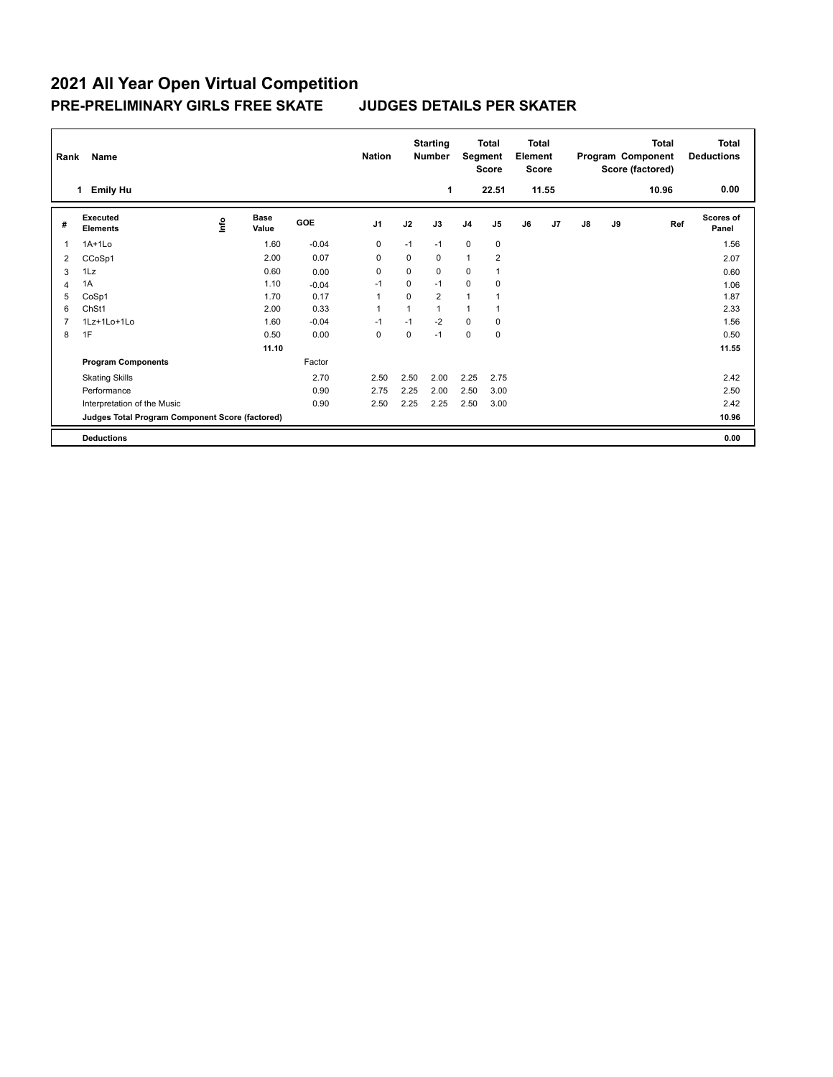|   | <b>Name</b><br>Rank                             |             |                      |         | <b>Nation</b>  |                | <b>Starting</b><br><b>Total</b><br>Segment<br><b>Number</b><br><b>Score</b> |                | <b>Total</b><br>Element<br><b>Score</b> |    | <b>Total</b><br>Program Component<br>Score (factored) |               |    | <b>Total</b><br><b>Deductions</b> |                           |
|---|-------------------------------------------------|-------------|----------------------|---------|----------------|----------------|-----------------------------------------------------------------------------|----------------|-----------------------------------------|----|-------------------------------------------------------|---------------|----|-----------------------------------|---------------------------|
|   | <b>Emily Hu</b><br>1                            |             |                      |         |                |                | 1                                                                           |                | 22.51                                   |    | 11.55                                                 |               |    | 10.96                             | 0.00                      |
| # | Executed<br><b>Elements</b>                     | <u>lnfo</u> | <b>Base</b><br>Value | GOE     | J <sub>1</sub> | J2             | J3                                                                          | J <sub>4</sub> | J <sub>5</sub>                          | J6 | J <sub>7</sub>                                        | $\mathsf{J}8$ | J9 | Ref                               | <b>Scores of</b><br>Panel |
| 1 | $1A+1Lo$                                        |             | 1.60                 | $-0.04$ | 0              | $-1$           | $-1$                                                                        | $\mathbf 0$    | $\mathbf 0$                             |    |                                                       |               |    |                                   | 1.56                      |
| 2 | CCoSp1                                          |             | 2.00                 | 0.07    | 0              | $\Omega$       | 0                                                                           | 1              | $\overline{2}$                          |    |                                                       |               |    |                                   | 2.07                      |
| 3 | 1Lz                                             |             | 0.60                 | 0.00    | 0              | 0              | $\mathbf 0$                                                                 | 0              |                                         |    |                                                       |               |    |                                   | 0.60                      |
| 4 | 1A                                              |             | 1.10                 | $-0.04$ | $-1$           | 0              | $-1$                                                                        | 0              | 0                                       |    |                                                       |               |    |                                   | 1.06                      |
| 5 | CoSp1                                           |             | 1.70                 | 0.17    |                | $\Omega$       | $\overline{2}$                                                              | $\overline{1}$ |                                         |    |                                                       |               |    |                                   | 1.87                      |
| 6 | ChSt1                                           |             | 2.00                 | 0.33    |                | $\overline{1}$ | $\mathbf{1}$                                                                | 1              |                                         |    |                                                       |               |    |                                   | 2.33                      |
|   | 1Lz+1Lo+1Lo                                     |             | 1.60                 | $-0.04$ | $-1$           | $-1$           | $-2$                                                                        | $\mathbf 0$    | 0                                       |    |                                                       |               |    |                                   | 1.56                      |
| 8 | 1F                                              |             | 0.50                 | 0.00    | 0              | $\mathbf 0$    | $-1$                                                                        | $\mathbf 0$    | $\mathbf 0$                             |    |                                                       |               |    |                                   | 0.50                      |
|   |                                                 |             | 11.10                |         |                |                |                                                                             |                |                                         |    |                                                       |               |    |                                   | 11.55                     |
|   | <b>Program Components</b>                       |             |                      | Factor  |                |                |                                                                             |                |                                         |    |                                                       |               |    |                                   |                           |
|   | <b>Skating Skills</b>                           |             |                      | 2.70    | 2.50           | 2.50           | 2.00                                                                        | 2.25           | 2.75                                    |    |                                                       |               |    |                                   | 2.42                      |
|   | Performance                                     |             |                      | 0.90    | 2.75           | 2.25           | 2.00                                                                        | 2.50           | 3.00                                    |    |                                                       |               |    |                                   | 2.50                      |
|   | Interpretation of the Music                     |             |                      | 0.90    | 2.50           | 2.25           | 2.25                                                                        | 2.50           | 3.00                                    |    |                                                       |               |    |                                   | 2.42                      |
|   | Judges Total Program Component Score (factored) |             |                      |         |                |                |                                                                             |                |                                         |    |                                                       |               |    |                                   | 10.96                     |
|   | <b>Deductions</b>                               |             |                      |         |                |                |                                                                             |                |                                         |    |                                                       |               |    |                                   | 0.00                      |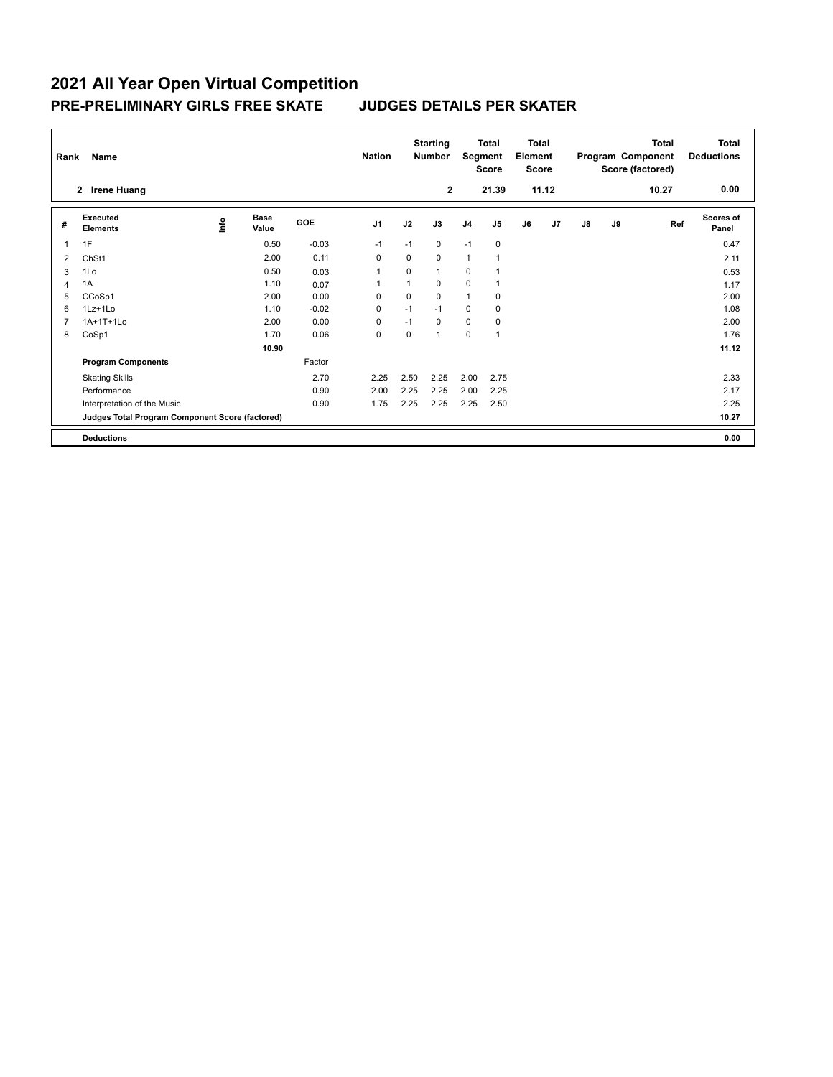|   | <b>Name</b><br>Rank                             |             |                      |         | <b>Nation</b>  |                | <b>Starting</b><br><b>Number</b> |                | <b>Total</b><br>Segment<br><b>Score</b> |    | <b>Total</b><br>Element<br><b>Score</b> |               |    | <b>Total</b><br>Program Component<br>Score (factored) | Total<br><b>Deductions</b> |
|---|-------------------------------------------------|-------------|----------------------|---------|----------------|----------------|----------------------------------|----------------|-----------------------------------------|----|-----------------------------------------|---------------|----|-------------------------------------------------------|----------------------------|
|   | <b>Irene Huang</b><br>$\mathbf{2}$              |             |                      |         |                |                | $\mathbf{2}$                     |                | 21.39                                   |    | 11.12                                   |               |    | 10.27                                                 | 0.00                       |
| # | Executed<br><b>Elements</b>                     | <u>lnfo</u> | <b>Base</b><br>Value | GOE     | J <sub>1</sub> | J2             | J3                               | J <sub>4</sub> | J <sub>5</sub>                          | J6 | J <sub>7</sub>                          | $\mathsf{J}8$ | J9 | Ref                                                   | <b>Scores of</b><br>Panel  |
| 1 | 1F                                              |             | 0.50                 | $-0.03$ | $-1$           | $-1$           | $\mathbf 0$                      | $-1$           | $\mathbf 0$                             |    |                                         |               |    |                                                       | 0.47                       |
| 2 | ChSt1                                           |             | 2.00                 | 0.11    | 0              | $\Omega$       | $\Omega$                         | 1              |                                         |    |                                         |               |    |                                                       | 2.11                       |
| 3 | 1Lo                                             |             | 0.50                 | 0.03    |                | 0              | $\mathbf{1}$                     | 0              |                                         |    |                                         |               |    |                                                       | 0.53                       |
| 4 | 1A                                              |             | 1.10                 | 0.07    |                | $\overline{1}$ | 0                                | 0              |                                         |    |                                         |               |    |                                                       | 1.17                       |
| 5 | CCoSp1                                          |             | 2.00                 | 0.00    | $\Omega$       | $\mathbf 0$    | $\mathbf 0$                      | 1              | 0                                       |    |                                         |               |    |                                                       | 2.00                       |
| 6 | $1Lz+1Lo$                                       |             | 1.10                 | $-0.02$ | 0              | $-1$           | $-1$                             | $\mathbf 0$    | 0                                       |    |                                         |               |    |                                                       | 1.08                       |
|   | 1A+1T+1Lo                                       |             | 2.00                 | 0.00    | $\Omega$       | $-1$           | $\Omega$                         | $\mathbf 0$    | 0                                       |    |                                         |               |    |                                                       | 2.00                       |
| 8 | CoSp1                                           |             | 1.70                 | 0.06    | 0              | 0              | $\mathbf{1}$                     | 0              | $\overline{1}$                          |    |                                         |               |    |                                                       | 1.76                       |
|   |                                                 |             | 10.90                |         |                |                |                                  |                |                                         |    |                                         |               |    |                                                       | 11.12                      |
|   | <b>Program Components</b>                       |             |                      | Factor  |                |                |                                  |                |                                         |    |                                         |               |    |                                                       |                            |
|   | <b>Skating Skills</b>                           |             |                      | 2.70    | 2.25           | 2.50           | 2.25                             | 2.00           | 2.75                                    |    |                                         |               |    |                                                       | 2.33                       |
|   | Performance                                     |             |                      | 0.90    | 2.00           | 2.25           | 2.25                             | 2.00           | 2.25                                    |    |                                         |               |    |                                                       | 2.17                       |
|   | Interpretation of the Music                     |             |                      | 0.90    | 1.75           | 2.25           | 2.25                             | 2.25           | 2.50                                    |    |                                         |               |    |                                                       | 2.25                       |
|   | Judges Total Program Component Score (factored) |             |                      |         |                |                |                                  |                |                                         |    |                                         |               |    |                                                       | 10.27                      |
|   | <b>Deductions</b>                               |             |                      |         |                |                |                                  |                |                                         |    |                                         |               |    |                                                       | 0.00                       |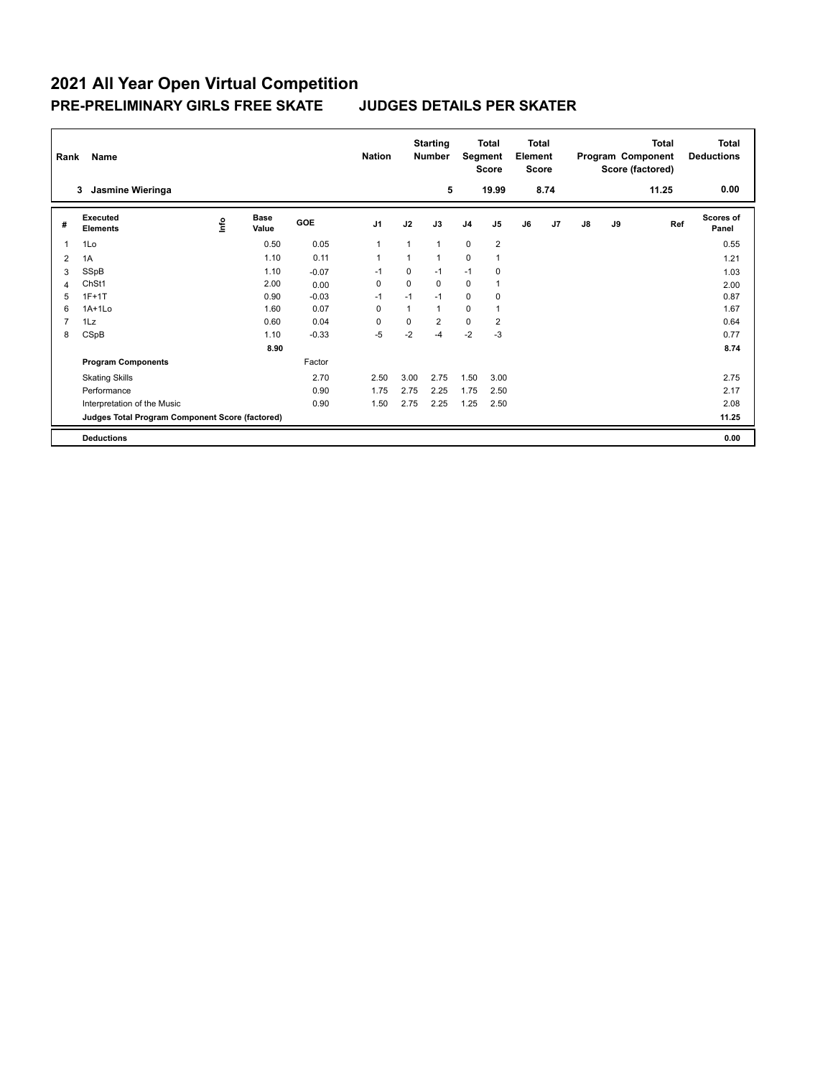|   | Name<br>Rank                                    |      |                      |            | <b>Nation</b>  |      | <b>Starting</b><br><b>Number</b> | Total<br>Segment<br><b>Score</b> |                          | <b>Total</b><br>Element<br><b>Score</b> |                |               |    | <b>Total</b><br>Program Component<br>Score (factored) | <b>Total</b><br><b>Deductions</b> |
|---|-------------------------------------------------|------|----------------------|------------|----------------|------|----------------------------------|----------------------------------|--------------------------|-----------------------------------------|----------------|---------------|----|-------------------------------------------------------|-----------------------------------|
|   | Jasmine Wieringa<br>3                           |      |                      |            |                |      | 5                                |                                  | 19.99                    |                                         | 8.74           |               |    | 11.25                                                 | 0.00                              |
| # | Executed<br><b>Elements</b>                     | lnfo | <b>Base</b><br>Value | <b>GOE</b> | J <sub>1</sub> | J2   | J3                               | J <sub>4</sub>                   | J <sub>5</sub>           | J6                                      | J <sub>7</sub> | $\mathsf{J}8$ | J9 | Ref                                                   | <b>Scores of</b><br>Panel         |
| 1 | 1Lo                                             |      | 0.50                 | 0.05       | 1              | 1    | 1                                | $\Omega$                         | $\overline{2}$           |                                         |                |               |    |                                                       | 0.55                              |
| 2 | 1A                                              |      | 1.10                 | 0.11       | 1              | 1    | $\overline{1}$                   | 0                                | $\overline{\phantom{a}}$ |                                         |                |               |    |                                                       | 1.21                              |
| 3 | SSpB                                            |      | 1.10                 | $-0.07$    | $-1$           | 0    | $-1$                             | $-1$                             | 0                        |                                         |                |               |    |                                                       | 1.03                              |
| Δ | ChSt1                                           |      | 2.00                 | 0.00       | 0              | 0    | 0                                | 0                                | 1                        |                                         |                |               |    |                                                       | 2.00                              |
| 5 | $1F+1T$                                         |      | 0.90                 | $-0.03$    | $-1$           | $-1$ | $-1$                             | $\mathbf 0$                      | 0                        |                                         |                |               |    |                                                       | 0.87                              |
| 6 | $1A+1Lo$                                        |      | 1.60                 | 0.07       | $\Omega$       | 1    | 1                                | $\mathbf 0$                      | 1                        |                                         |                |               |    |                                                       | 1.67                              |
|   | 1Lz                                             |      | 0.60                 | 0.04       | $\Omega$       | 0    | $\overline{2}$                   | $\mathbf 0$                      | 2                        |                                         |                |               |    |                                                       | 0.64                              |
| 8 | CSpB                                            |      | 1.10                 | $-0.33$    | $-5$           | $-2$ | $-4$                             | $-2$                             | $-3$                     |                                         |                |               |    |                                                       | 0.77                              |
|   |                                                 |      | 8.90                 |            |                |      |                                  |                                  |                          |                                         |                |               |    |                                                       | 8.74                              |
|   | <b>Program Components</b>                       |      |                      | Factor     |                |      |                                  |                                  |                          |                                         |                |               |    |                                                       |                                   |
|   | <b>Skating Skills</b>                           |      |                      | 2.70       | 2.50           | 3.00 | 2.75                             | 1.50                             | 3.00                     |                                         |                |               |    |                                                       | 2.75                              |
|   | Performance                                     |      |                      | 0.90       | 1.75           | 2.75 | 2.25                             | 1.75                             | 2.50                     |                                         |                |               |    |                                                       | 2.17                              |
|   | Interpretation of the Music                     |      |                      | 0.90       | 1.50           | 2.75 | 2.25                             | 1.25                             | 2.50                     |                                         |                |               |    |                                                       | 2.08                              |
|   | Judges Total Program Component Score (factored) |      |                      |            |                |      |                                  |                                  |                          |                                         |                |               |    |                                                       | 11.25                             |
|   | <b>Deductions</b>                               |      |                      |            |                |      |                                  |                                  |                          |                                         |                |               |    |                                                       | 0.00                              |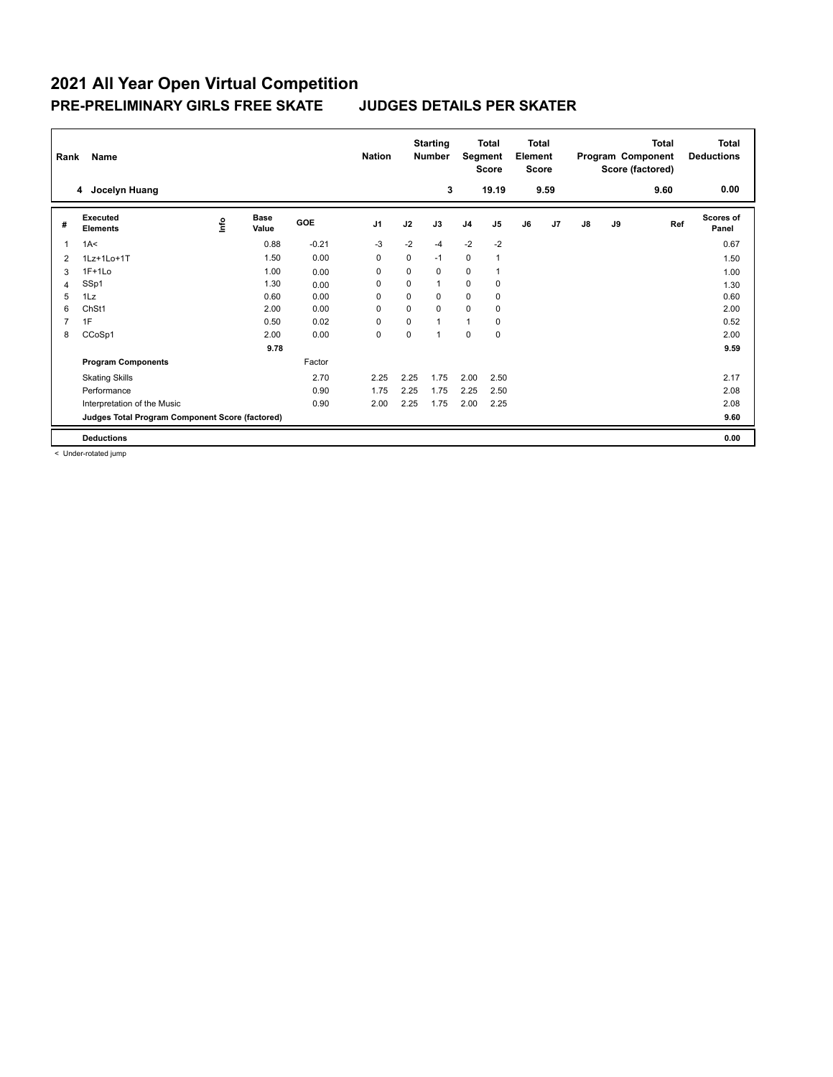| <b>Name</b><br>Rank |                                                 |      |                      | <b>Nation</b> |                | <b>Starting</b><br><b>Number</b> | <b>Total</b><br>Segment<br>Score |                | <b>Total</b><br>Element<br><b>Score</b> |    | Program Component |               | <b>Total</b><br>Score (factored) | Total<br><b>Deductions</b> |                    |
|---------------------|-------------------------------------------------|------|----------------------|---------------|----------------|----------------------------------|----------------------------------|----------------|-----------------------------------------|----|-------------------|---------------|----------------------------------|----------------------------|--------------------|
|                     | Jocelyn Huang<br>4                              |      |                      |               |                |                                  | 3                                |                | 19.19                                   |    | 9.59              |               |                                  | 9.60                       | 0.00               |
| #                   | Executed<br><b>Elements</b>                     | ١nfo | <b>Base</b><br>Value | GOE           | J <sub>1</sub> | J2                               | J3                               | J <sub>4</sub> | J <sub>5</sub>                          | J6 | J7                | $\mathsf{J}8$ | J9                               | Ref                        | Scores of<br>Panel |
| -1                  | 1A<                                             |      | 0.88                 | $-0.21$       | $-3$           | $-2$                             | $-4$                             | $-2$           | $-2$                                    |    |                   |               |                                  |                            | 0.67               |
| $\overline{2}$      | 1Lz+1Lo+1T                                      |      | 1.50                 | 0.00          | 0              | 0                                | $-1$                             | $\mathbf 0$    | $\overline{1}$                          |    |                   |               |                                  |                            | 1.50               |
| 3                   | $1F+1Lo$                                        |      | 1.00                 | 0.00          | 0              | 0                                | $\mathbf 0$                      | 0              | $\overline{1}$                          |    |                   |               |                                  |                            | 1.00               |
| 4                   | SSp1                                            |      | 1.30                 | 0.00          | 0              | 0                                | $\mathbf{1}$                     | 0              | 0                                       |    |                   |               |                                  |                            | 1.30               |
| 5                   | 1Lz                                             |      | 0.60                 | 0.00          | 0              | 0                                | $\Omega$                         | $\mathbf 0$    | $\mathbf 0$                             |    |                   |               |                                  |                            | 0.60               |
| 6                   | ChSt1                                           |      | 2.00                 | 0.00          | 0              | 0                                | $\Omega$                         | $\mathbf 0$    | 0                                       |    |                   |               |                                  |                            | 2.00               |
| 7                   | 1F                                              |      | 0.50                 | 0.02          | 0              | 0                                | $\mathbf{1}$                     | $\mathbf{1}$   | $\mathbf 0$                             |    |                   |               |                                  |                            | 0.52               |
| 8                   | CCoSp1                                          |      | 2.00                 | 0.00          | 0              | 0                                | $\mathbf{1}$                     | 0              | $\pmb{0}$                               |    |                   |               |                                  |                            | 2.00               |
|                     |                                                 |      | 9.78                 |               |                |                                  |                                  |                |                                         |    |                   |               |                                  |                            | 9.59               |
|                     | <b>Program Components</b>                       |      |                      | Factor        |                |                                  |                                  |                |                                         |    |                   |               |                                  |                            |                    |
|                     | <b>Skating Skills</b>                           |      |                      | 2.70          | 2.25           | 2.25                             | 1.75                             | 2.00           | 2.50                                    |    |                   |               |                                  |                            | 2.17               |
|                     | Performance                                     |      |                      | 0.90          | 1.75           | 2.25                             | 1.75                             | 2.25           | 2.50                                    |    |                   |               |                                  |                            | 2.08               |
|                     | Interpretation of the Music                     |      |                      | 0.90          | 2.00           | 2.25                             | 1.75                             | 2.00           | 2.25                                    |    |                   |               |                                  |                            | 2.08               |
|                     | Judges Total Program Component Score (factored) |      |                      |               |                |                                  |                                  |                |                                         |    |                   |               |                                  |                            | 9.60               |
|                     | <b>Deductions</b>                               |      |                      |               |                |                                  |                                  |                |                                         |    |                   |               |                                  |                            | 0.00               |

< Under-rotated jump